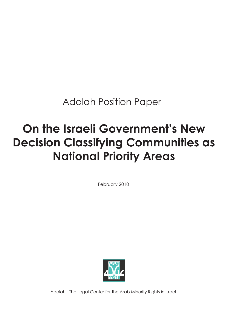Adalah Position Paper

# **On the Israeli Government's New Decision Classifying Communities as National Priority Areas**

February 2010



Adalah - The Legal Center for the Arab Minority Rights in Israel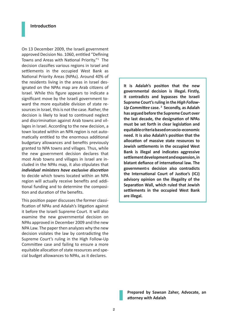#### **Introduction**

On 13 December 2009, the Israeli government approved Decision No. 1060, entitled "Defining Towns and Areas with National Priority."<sup>1</sup> The decision classifies various regions in Israel and settlements in the occupied West Bank as National Priority Areas (NPAs). Around 40% of the residents living in the areas in Israel designated on the NPAs map are Arab citizens of Israel. While this figure appears to indicate a significant move by the Israeli government toward the more equitable division of state resources in Israel, this is not the case. Rather, the decision is likely to lead to continued neglect and discrimination against Arab towns and villages in Israel. According to the new decision, a town located within an NPA region is not automatically entitled to the enormous additional budgetary allowances and benefits previously granted to NPA towns and villages. Thus, while the new government decision declares that most Arab towns and villages in Israel are included in the NPAs map, it also stipulates that *individual ministers have exclusive discretion* to decide which towns located within an NPA region will actually receive benefits and additional funding and to determine the composition and duration of the benefits.

This position paper discusses the former classification of NPAs and Adalah's litigation against it before the Israeli Supreme Court. It will also examine the new governmental decision on NPAs approved in December 2009 and the new NPA Law. The paper then analyzes why the new decision violates the law by contradicting the Supreme Court's ruling in the High Follow-Up Committee case and failing to ensure a more equitable allocation of state resources and special budget allowances to NPAs, as it declares.

**It is Adalah's position that the new governmental decision is illegal. Firstly, it contradicts and bypasses the Israeli Supreme Court's ruling in the** *High Follow-Up Committee* **case. <sup>2</sup> Secondly, as Adalah has argued before the Supreme Court over the last decade, the designation of NPAs must be set forth in clear legislation and equitable criteria based on socio-economic need. It is also Adalah's position that the allocation of massive state resources to Jewish settlements in the occupied West Bank is illegal and indicates aggressive settlement development and expansion, in blatant defiance of international law. The government›s decision also contradicts the International Court of Justice's (ICJ) advisory opinion on the illegality of the Separation Wall, which ruled that Jewish settlements in the occupied West Bank are illegal.**

**Prepared by Sawsan Zaher, Advocate, an attorney with Adalah**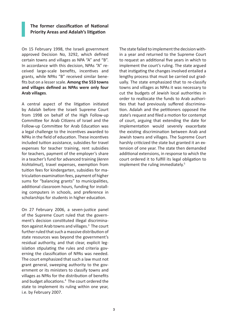# **The former classification of National Priority Areas and Adalah's litigation**

On 15 February 1998, the Israeli government approved Decision No, 3292, which defined certain towns and villages as NPA "A" and "B". In accordance with this decision, NPAs "A" received large-scale benefits, incentives and grants, while NPAs "B" received similar benefits but on a lesser scale. **Among the 553 towns and villages defined as NPAs were only four Arab villages**.

A central aspect of the litigation initiated by Adalah before the Israeli Supreme Court from 1998 on behalf of the High Follow-up Committee for Arab Citizens of Israel and the Follow-up Committee for Arab Education was a legal challenge to the incentives awarded to NPAs in the field of education. These incentives included tuition assistance, subsidies for travel expenses for teacher training, rent subsidies for teachers, payment of the employer's share in a teacher's fund for advanced training (*keren hishtalmut*), travel expenses, exemption from tuition fees for kindergarten, subsidies for matriculation examination fees, payment of higher sums for "balancing grants" to municipalities, additional classroom hours, funding for installing computers in schools, and preference in scholarships for students in higher education.

On 27 February 2006, a seven-justice panel of the Supreme Court ruled that the government's decision constituted illegal discrimination against Arab towns and villages.<sup>3</sup> The court further ruled that such a massive distribution of state resources was beyond the government's residual authority, and that clear, explicit legislation stipulating the rules and criteria governing the classification of NPAs was needed. The court emphasized that such a law must not grant general, sweeping authority to the government or its ministers to classify towns and villages as NPAs for the distribution of benefits and budget allocations.<sup>4</sup> The court ordered the state to implement its ruling within one year, i.e. by February 2007.

The state failed to implement the decision within a year and returned to the Supreme Court to request an additional five years in which to implement the court's ruling. The state argued that instigating the changes involved entailed a lengthy process that must be carried out gradually. The state emphasized that to re-classify towns and villages as NPAs it was necessary to cut the budgets of Jewish local authorities in order to reallocate the funds to Arab authorities that had previously suffered discrimination. Adalah and the petitioners opposed the state's request and filed a motion for contempt of court, arguing that extending the date for implementation would severely exacerbate the existing discrimination between Arab and Jewish towns and villages. The Supreme Court harshly criticized the state but granted it an extension of one year. The state then demanded additional extensions, in response to which the court ordered it to fulfill its legal obligation to implement the ruling immediately.<sup>5</sup>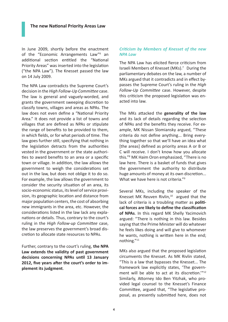In June 2009, shortly before the enactment of the "Economic Arrangements Law"<sup>6</sup> an additional section entitled the "National Priority Areas" was inserted into the legislation ("the NPA Law"). The Knesset passed the law on 14 July 2009.

The NPA Law contradicts the Supreme Court's decision in the *High Follow-Up Committee* case. The law is general and vaguely-worded, and grants the government sweeping discretion to classify towns, villages and areas as NPAs. The law does not even define a "National Priority Area." It does not provide a list of towns and villages that are defined as NPAs or stipulate the range of benefits to be provided to them, in which fields, or for what periods of time. The law goes further still, specifying that nothing in the legislation detracts from the authorities vested in the government or the state authorities to award benefits to an area or a specific town or village. In addition, the law allows the government to weigh the considerations set out in the law, but does not oblige it to do so. For example, the law allows the government to consider the security situation of an area, its socio-economic status, its level of service provision, its geographic location and distance from major population centers, the cost of absorbing new immigrants in the area, etc. However, the considerations listed in the law lack any explanations or details. Thus, contrary to the court's ruling in the *High Follow-up Committee* case, the law preserves the government's broad discretion to allocate state resources to NPAs.

Further, contrary to the court's ruling, **the NPA Law extends the validity of past government decisions concerning NPAs until 13 January 2012, five years after the court's order to implement its judgment**.

# *Criticism by Members of Knesset of the new NPA Law*

The NPA Law has elicited fierce criticism from Israeli Members of Knesset (MKs).<sup>7</sup> During the parliamentary debates on the law, a number of MKs argued that it contradicts and in effect bypasses the Supreme Court's ruling in the *High Follow-Up Committee* case. However, despite this criticism the proposed legislation was enacted into law.

The MKs attacked the **generality of the law**  and its lack of details regarding the selection of NPAs and the benefits they receive. For example, MK Nissan Slomiansky argued, "These criteria do not define anything... Bring everything together so that we'll have an idea what [the areas] defined as priority areas A or B or C will receive. I don't know how you allocate this."8 MK Haim Oron emphasized, "There is no law here. There is a basket of funds that gives the government the authority to distribute huge amounts of money at its own discretion... What we have here is not criteria."<sup>9</sup>

Several MKs, including the speaker of the Knesset MK Reuven Rivlin, $10$  argued that the lack of criteria is a troubling matter as **political forces are likely to define the classification of NPAs**. In this regard MK Shelly Yacimovich argued: "There is nothing in this law. Besides saying that the Prime Minister will do whatever he feels likes doing and will give to whomever he wants, nothing is written here in the end; nothing."11

MKs also argued that the proposed legislation circumvents the Knesset. As MK Rivlin stated, "This is a law that bypasses the Knesset... The framework law explicitly states, 'The government will be able to act at its discretion.'"<sup>12</sup> Similarly, Attorney Ido Ben Yitzhak, who provided legal counsel to the Knesset's Finance Committee, argued that, "The legislative proposal, as presently submitted here, does not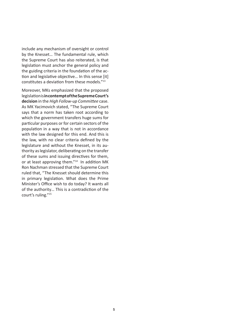include any mechanism of oversight or control by the Knesset… The fundamental rule, which the Supreme Court has also reiterated, is that legislation must anchor the general policy and the guiding criteria in the foundation of the action and legislative objective… In this sense [it] constitutes a deviation from these models."<sup>13</sup>

Moreover, MKs emphasized that the proposed legislation is **in contempt of the Supreme Court's decision** in the *High Follow-up Committee* case. As MK Yacimovich stated, "The Supreme Court says that a norm has taken root according to which the government transfers huge sums for particular purposes or for certain sectors of the population in a way that is not in accordance with the law designed for this end. And this is the law, with no clear criteria defined by the legislature and without the Knesset, in its authority as legislator, deliberating on the transfer of these sums and issuing directives for them, or at least approving them."14 In addition MK Ron Nachman stressed that the Supreme Court ruled that, "The Knesset should determine this in primary legislation. What does the Prime Minister's Office wish to do today? It wants all of the authority… This is a contradiction of the court's ruling."15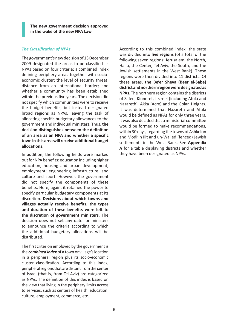**The new government decision approved in the wake of the new NPA Law**

#### *The Classification of NPAs*

The government's new decision of 13 December 2009 designated the areas to be classified as NPAs based on four criteria: a combined index defining periphery areas together with socioeconomic cluster; the level of security threat; distance from an international border; and whether a community has been established within the previous five years. The decision did not specify which communities were to receive the budget benefits, but instead designated broad regions as NPAs, leaving the task of allocating specific budgetary allowances to the government and individual ministers. Thus, **the decision distinguishes between the definition of an area as an NPA and whether a specific town in this area will receive additional budget allocations**.

In addition, the following fields were marked out for NPA benefits: education including higher education; housing and urban development; employment; engineering infrastructure; and culture and sport. However, the government did not specify the components of these benefits. Here, again, it retained the power to specify particular budgetary components at its discretion. **Decisions about which towns and villages actually receive benefits, the types and duration of these benefits were left to the discretion of government ministers**. The decision does not set any date for ministers to announce the criteria according to which the additional budgetary allocations will be distributed.

The first criterion employed by the government is the *combined index* of a town or village's location in a peripheral region plus its socio-economic cluster classification. According to this index, peripheral regions that are distant from the center of Israel (that is, from Tel Aviv) are categorized as NPAs. The definition of this index is based on the view that living in the periphery limits access to services, such as centers of health, education, culture, employment, commerce, etc.

According to this combined index, the state was divided into **five regions** (of a total of the following seven regions: Jerusalem, the North, Haifa, the Center, Tel Aviv, the South, and the Jewish settlements in the West Bank). These regions were then divided into 11 districts. Of these areas, **the Be'er Sheva (Beer el-Sabe) district and northern region were designated as NPAs**. The northern region contains the districts of Safed, Kinneret, Jezreel (including Afula and Nazareth), Akka (Acre) and the Golan Heights. It was determined that Nazareth and Afula would be defined as NPAs for only three years. It was also decided that a ministerial committee would be formed to make recommendations, within 30 days, regarding the towns of Ashkelon and Modi'in Ilit and un-Walled (fenced) Jewish settlements in the West Bank. See **Appendix A** for a table displaying districts and whether they have been designated as NPAs.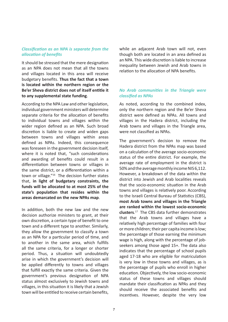# *Classification as an NPA is separate from the allocation of benefits*

It should be stressed that the mere designation as an NPA does not mean that all the towns and villages located in this area will receive budgetary benefits. **Thus the fact that a town is located within the northern region or the Be'er Sheva district does not of itself entitle it to any supplemental state funding**.

According to the NPA Law and other legislation, individual government ministers will determine separate criteria for the allocation of benefits to individual towns and villages within the wider region defined as an NPA. Such broad discretion is liable to create and widen gaps between towns and villages within areas defined as NPAs. Indeed, this consequence was foreseen in the government decision itself, where it is noted that, "such considerations and awarding of benefits could result in a differentiation between towns or villages in the same district, or a differentiation within a town or village."16 The decision further states that, **in light of budgetary constraints, the funds will be allocated to at most 25% of the state's population that resides within the areas demarcated on the new NPAs map**.

In addition, both the new law and the new decision authorize ministers to grant, at their own discretion, a certain type of benefit to one town and a different type to another. Similarly, they allow the government to classify a town as an NPA for a particular period of time, and to another in the same area, which fulfills all the same criteria, for a longer or shorter period. Thus, a situation will undoubtedly arise in which the government's decision will be applied differently to towns and villages that fulfill exactly the same criteria. Given the government's previous designation of NPA status almost exclusively to Jewish towns and villages, in this situation it is likely that a Jewish town will be entitled to receive certain benefits, while an adjacent Arab town will not, even though both are located in an area defined as an NPA. This wide discretion is liable to increase inequality between Jewish and Arab towns in relation to the allocation of NPA benefits.

# *No Arab communities in the Triangle were classified as NPAs*

As noted, according to the combined index, only the northern region and the Be'er Sheva district were defined as NPAs. All towns and villages in the Hadera district, including the Arab towns and villages in the Triangle area, were not classified as NPAs.

The government's decision to remove the Hadera district from the NPAs map was based on a calculation of the average socio-economic status of the entire district. For example, the average rate of employment in the district is 50% and the average monthly income NIS 6,112. However, a breakdown of the data within the district into Jewish and Arab localities reveals that the socio-economic situation in the Arab towns and villages is relatively poor. According to the Israeli Central Bureau of Statistics (CBS), **most Arab towns and villages in the Triangle are ranked within the lowest socio-economic clusters**. <sup>17</sup> The CBS data further demonstrates that the Arab towns and villages have a relatively high percentage of families with four or more children; their per capita income is low; the percentage of those earning the minimum wage is high, along with the percentage of jobseekers among those aged 15+. The data also indicates that the percentage of school pupils aged 17-18 who are eligible for matriculation is very low in these towns and villages, as is the percentage of pupils who enroll in higher education. Objectively, the low socio-economic status of these towns and villages should mandate their classification as NPAs and they should receive the associated benefits and incentives. However, despite the very low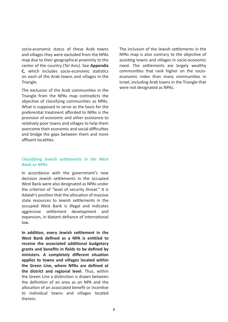socio-economic status of these Arab towns and villages they were excluded from the NPAs map due to their geographical proximity to the center of the country (Tel Aviv). See **Appendix C**, which includes socio-economic statistics on each of the Arab towns and villages in the Triangle.

The exclusion of the Arab communities in the Triangle from the NPAs map contradicts the objective of classifying communities as NPAs. What is supposed to serve as the basis for the preferential treatment afforded to NPAs is the provision of economic and other assistance to relatively poor towns and villages to help them overcome their economic and social difficulties and bridge the gaps between them and more affluent localities.

# *Classifying Jewish settlements in the West Bank as NPAs*

In accordance with the government's new decision Jewish settlements in the occupied West Bank were also designated as NPAs under the criterion of "level of security threat." It is Adalah's position that the allocation of massive state resources to Jewish settlements in the occupied West Bank is illegal and indicates aggressive settlement development and expansion, in blatant defiance of international law.

**In addition, every Jewish settlement in the West Bank defined as a NPA is entitled to receive the associated additional budgetary grants and benefits in fields to be defined by ministers. A completely different situation applies to towns and villages located within the Green Line, where NPAs are defined at the district and regional level**. Thus, within the Green Line a distinction is drawn between the definition of an area as an NPA and the allocation of an associated benefit or incentive to individual towns and villages located therein.

The inclusion of the Jewish settlements in the NPAs map is also contrary to the objective of assisting towns and villages in socio-economic need. The settlements are largely wealthy communities that rank higher on the socioeconomic index than many communities in Israel, including Arab towns in the Triangle that were not designated as NPAs.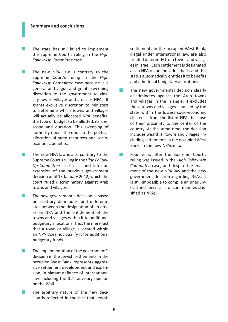The state has still failed to implement the Supreme Court's ruling in the *High Follow-Up Committee* case.

- $\mathcal{L}^{\mathcal{A}}$ The new NPA Law is contrary to the Supreme Court's ruling in the *High Follow-Up Committee* case because it is general and vague and grants sweeping discretion to the government to classify towns, villages and areas as NPAs. It grants exclusive discretion to ministers to determine which towns and villages will actually be allocated NPA benefits, the type of budget to be allotted, its size, scope and duration. This sweeping of authority opens the door to the political allocation of state resources and socioeconomic benefits.
- $\mathcal{L}^{\text{max}}$ The new NPA law is also contrary to the Supreme Court's ruling in the *High Follow-Up Committee* case as it constitutes an extension of the previous government decision until 13 January 2012, which the court ruled discriminatory against Arab towns and villages.
- $\sim$ The new governmental decision is based on arbitrary definitions, and differentiates between the designation of an area as an NPA and the entitlement of the towns and villages within it to additional budgetary allocations. Thus the mere fact that a town or village is located within an NPA does not qualify it for additional budgetary funds.
- The implementation of the government's decision in the Jewish settlements in the occupied West Bank represents aggressive settlement development and expansion, in blatant defiance of international law, including the ICJ's advisory opinion on the Wall.
- The arbitrary nature of the new deci- $\mathbb{R}^3$ sion is reflected in the fact that Jewish

settlements in the occupied West Bank, illegal under international law, are also treated differently from towns and villages in Israel. Each settlement is designated as an NPA on an individual basis and this status automatically entitles it to benefits and additional budgetary allocations.

- **T** The new governmental decision clearly discriminates against the Arab towns and villages in the Triangle. It excludes these towns and villages – ranked by the state within the lowest socio-economic clusters – from the list of NPAs because of their proximity to the center of the country. At the same time, the decision includes wealthier towns and villages, including settlements in the occupied West Bank, in the new NPAs map.
- **Tale** Four years after the Supreme Court's ruling was issued in the *High Follow-Up Committee* case, and despite the enactment of the new NPA law and the new government decision regarding NPAs, it is still impossible to compile an unequivocal and specific list of communities classified as NPAs.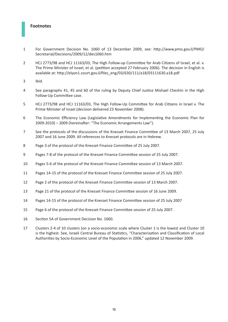# **Footnotes**

- For Government Decision No. 1060 of 13 December 2009, see: http://www.pmo.gov.il/PMO/ Secretarial/Decisions/2009/12/des1060.htm
- HCJ 2773/98 and HCJ 11163/03, The High Follow-up Committee for Arab Citizens of Israel, et al. v. The Prime Minister of Israel, et al. (petition accepted 27 February 2006). The decision in English is available at: http://elyon1.court.gov.il/files\_eng/03/630/111/a18/03111630.a18.pdf
- Ibid.
- See paragraphs 41, 45 and 60 of the ruling by Deputy Chief Justice Mishael Cheshin in the High Follow-Up Committee case.
- HCJ 2773/98 and HCJ 11163/03, The High Follow-Up Committee for Arab Citizens in Israel v. The Prime Minister of Israel (decision delivered 23 November 2008).
- The Economic Efficiency Law (Legislative Amendments for Implementing the Economic Plan for 2009-2010) – 2009 (hereinafter: "The Economic Arrangements Law").
- See the protocols of the discussions of the Knesset Finance Committee of 13 March 2007, 25 July 2007 and 16 June 2009. All references to Knesset protocols are in Hebrew.
- Page 3 of the protocol of the Knesset Finance Committee of 25 July 2007.
- Pages 7-8 of the protocol of the Knesset Finance Committee session of 25 July 2007.
- Pages 5-6 of the protocol of the Knesset Finance Committee session of 13 March 2007.
- Pages 14-15 of the protocol of the Knesset Finance Committee session of 25 July 2007.
- Page 2 of the protocol of the Knesset Finance Committee session of 13 March 2007.
- Page 21 of the protocol of the Knesset Finance Committee session of 16 June 2009.
- Pages 14-15 of the protocol of the Knesset Finance Committee session of 25 July 2007
- Page 6 of the protocol of the Knesset Finance Committee session of 25 July 2007.
- Section 5A of Government Decision No. 1060.
- Clusters 2-4 of 10 clusters (on a socio-economic scale where Cluster 1 is the lowest and Cluster 10 is the highest. See, Israeli Central Bureau of Statistics, "Characterization and Classification of Local Authorities by Socio-Economic Level of the Population in 2006," updated 12 November 2009.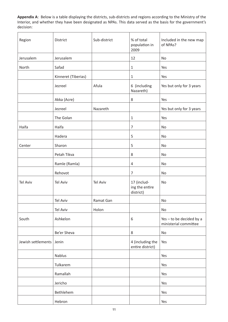**Appendix A**: Below is a table displaying the districts, sub-districts and regions according to the Ministry of the Interior, and whether they have been designated as NPAs. This data served as the basis for the government's decision:

| Region             | District            | Sub-district    | % of total<br>population in<br>2009        | Included in the new map<br>of NPAs?               |
|--------------------|---------------------|-----------------|--------------------------------------------|---------------------------------------------------|
| Jerusalem          | Jerusalem           |                 | 12                                         | <b>No</b>                                         |
| North              | Safad               |                 | $1\,$                                      | Yes                                               |
|                    | Kinneret (Tiberias) |                 | $\mathbf{1}$                               | Yes                                               |
|                    | Jezreel             | Afula           | 6 (including<br>Nazareth)                  | Yes but only for 3 years                          |
|                    | Akka (Acre)         |                 | 8                                          | Yes                                               |
|                    | Jezreel             | Nazareth        |                                            | Yes but only for 3 years                          |
|                    | The Golan           |                 | $1\,$                                      | Yes                                               |
| Haifa              | Haifa               |                 | 7                                          | No                                                |
|                    | Hadera              |                 | 5                                          | No                                                |
| Center             | Sharon              |                 | 5                                          | No                                                |
|                    | Petah Tikva         |                 | 8                                          | No                                                |
|                    | Ramle (Ramla)       |                 | 4                                          | No                                                |
|                    | Rehovot             |                 | 7                                          | No                                                |
| <b>Tel Aviv</b>    | <b>Tel Aviv</b>     | <b>Tel Aviv</b> | 17 (includ-<br>ing the entire<br>district) | No                                                |
|                    | <b>Tel Aviv</b>     | Ramat Gan       |                                            | No                                                |
|                    | <b>Tel Aviv</b>     | Holon           |                                            | No                                                |
| South              | Ashkelon            |                 | 6                                          | Yes - to be decided by a<br>ministerial committee |
|                    | Be'er Sheva         |                 | 8                                          | No                                                |
| Jewish settlements | Jenin               |                 | 4 (including the<br>entire district)       | Yes                                               |
|                    | Nablus              |                 |                                            | Yes                                               |
|                    | Tulkarem            |                 |                                            | Yes                                               |
|                    | Ramallah            |                 |                                            | Yes                                               |
|                    | Jericho             |                 |                                            | Yes                                               |
|                    | Bethlehem           |                 |                                            | Yes                                               |
|                    | Hebron              |                 |                                            | Yes                                               |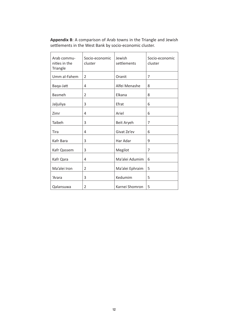**Appendix B**: A comparison of Arab towns in the Triangle and Jewish settlements in the West Bank by socio-economic cluster.

| Arab commu-<br>nities in the<br>Triangle | Socio-economic<br>cluster | Jewish<br>settlements | Socio-economic<br>cluster |
|------------------------------------------|---------------------------|-----------------------|---------------------------|
| Umm al-Fahem                             | $\overline{2}$            | Oranit                | 7                         |
| Baqa-Jatt                                | 4                         | Alfei Menashe         | 8                         |
| <b>Basmeh</b>                            | 2                         | Elkana                | 8                         |
| Jaljuliya                                | 3                         | Efrat                 | 6                         |
| Zimr                                     | 4                         | Ariel                 | 6                         |
| Taibeh                                   | 3                         | Beit Aryeh            | 7                         |
| Tira                                     | 4                         | Givat Ze'ev           | 6                         |
| Kafr Bara                                | 3                         | Har Adar              | 9                         |
| Kafr Qassem                              | 3                         | Megilot               | 7                         |
| Kafr Qara                                | 4                         | Ma'alei Adumim        | 6                         |
| Ma'alei Iron                             | 2                         | Ma'alei Ephraim       | 5                         |
|                                          |                           | Kedumim               |                           |
| 'Arara                                   | 3                         |                       | 5                         |
| Qalansuwa                                | 2                         | Karnei Shomron        | 5                         |